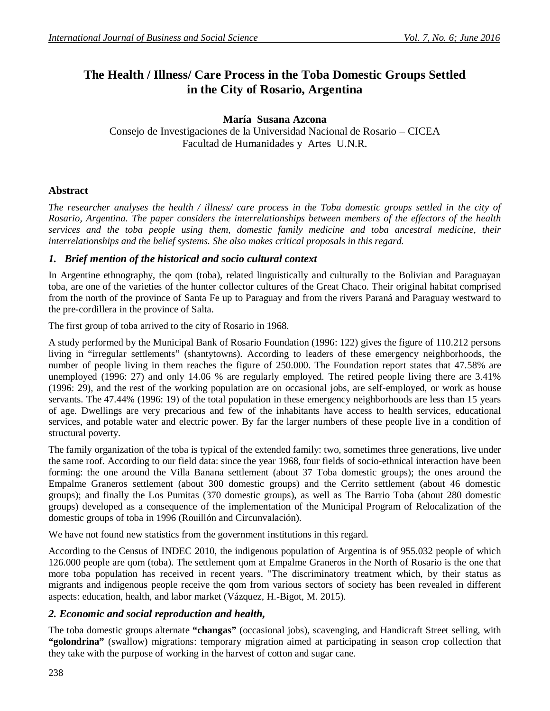# **The Health / Illness/ Care Process in the Toba Domestic Groups Settled in the City of Rosario, Argentina**

### **María Susana Azcona**  Consejo de Investigaciones de la Universidad Nacional de Rosario – CICEA Facultad de Humanidades y Artes U.N.R.

## **Abstract**

*The researcher analyses the health / illness/ care process in the Toba domestic groups settled in the city of Rosario, Argentina. The paper considers the interrelationships between members of the effectors of the health services and the toba people using them, domestic family medicine and toba ancestral medicine, their interrelationships and the belief systems. She also makes critical proposals in this regard.*

### *1. Brief mention of the historical and socio cultural context*

In Argentine ethnography, the qom (toba), related linguistically and culturally to the Bolivian and Paraguayan toba, are one of the varieties of the hunter collector cultures of the Great Chaco. Their original habitat comprised from the north of the province of Santa Fe up to Paraguay and from the rivers Paraná and Paraguay westward to the pre-cordillera in the province of Salta.

The first group of toba arrived to the city of Rosario in 1968.

A study performed by the Municipal Bank of Rosario Foundation (1996: 122) gives the figure of 110.212 persons living in "irregular settlements" (shantytowns). According to leaders of these emergency neighborhoods, the number of people living in them reaches the figure of 250.000. The Foundation report states that 47.58% are unemployed (1996: 27) and only 14.06 % are regularly employed. The retired people living there are 3.41% (1996: 29), and the rest of the working population are on occasional jobs, are self-employed, or work as house servants. The 47.44% (1996: 19) of the total population in these emergency neighborhoods are less than 15 years of age. Dwellings are very precarious and few of the inhabitants have access to health services, educational services, and potable water and electric power. By far the larger numbers of these people live in a condition of structural poverty.

The family organization of the toba is typical of the extended family: two, sometimes three generations, live under the same roof. According to our field data: since the year 1968, four fields of socio-ethnical interaction have been forming: the one around the Villa Banana settlement (about 37 Toba domestic groups); the ones around the Empalme Graneros settlement (about 300 domestic groups) and the Cerrito settlement (about 46 domestic groups); and finally the Los Pumitas (370 domestic groups), as well as The Barrio Toba (about 280 domestic groups) developed as a consequence of the implementation of the Municipal Program of Relocalization of the domestic groups of toba in 1996 (Rouillón and Circunvalación).

We have not found new statistics from the government institutions in this regard.

According to the Census of INDEC 2010, the indigenous population of Argentina is of 955.032 people of which 126.000 people are qom (toba). The settlement qom at Empalme Graneros in the North of Rosario is the one that more toba population has received in recent years. "The discriminatory treatment which, by their status as migrants and indigenous people receive the qom from various sectors of society has been revealed in different aspects: education, health, and labor market (Vázquez, H.-Bigot, M. 2015).

## *2. Economic and social reproduction and health,*

The toba domestic groups alternate **"changas"** (occasional jobs), scavenging, and Handicraft Street selling, with **"golondrina"** (swallow) migrations: temporary migration aimed at participating in season crop collection that they take with the purpose of working in the harvest of cotton and sugar cane.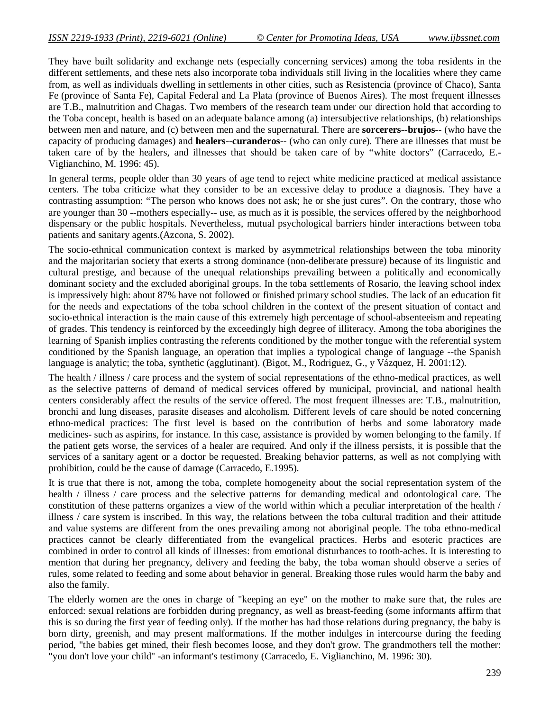They have built solidarity and exchange nets (especially concerning services) among the toba residents in the different settlements, and these nets also incorporate toba individuals still living in the localities where they came from, as well as individuals dwelling in settlements in other cities, such as Resistencia (province of Chaco), Santa Fe (province of Santa Fe), Capital Federal and La Plata (province of Buenos Aires). The most frequent illnesses are T.B., malnutrition and Chagas. Two members of the research team under our direction hold that according to the Toba concept, health is based on an adequate balance among (a) intersubjective relationships, (b) relationships between men and nature, and (c) between men and the supernatural. There are **sorcerers**--**brujos**-- (who have the capacity of producing damages) and **healers**--**curanderos**-- (who can only cure). There are illnesses that must be taken care of by the healers, and illnesses that should be taken care of by "white doctors" (Carracedo, E.- Viglianchino, M. 1996: 45).

In general terms, people older than 30 years of age tend to reject white medicine practiced at medical assistance centers. The toba criticize what they consider to be an excessive delay to produce a diagnosis. They have a contrasting assumption: "The person who knows does not ask; he or she just cures". On the contrary, those who are younger than 30 --mothers especially-- use, as much as it is possible, the services offered by the neighborhood dispensary or the public hospitals. Nevertheless, mutual psychological barriers hinder interactions between toba patients and sanitary agents.(Azcona, S. 2002).

The socio-ethnical communication context is marked by asymmetrical relationships between the toba minority and the majoritarian society that exerts a strong dominance (non-deliberate pressure) because of its linguistic and cultural prestige, and because of the unequal relationships prevailing between a politically and economically dominant society and the excluded aboriginal groups. In the toba settlements of Rosario, the leaving school index is impressively high: about 87% have not followed or finished primary school studies. The lack of an education fit for the needs and expectations of the toba school children in the context of the present situation of contact and socio-ethnical interaction is the main cause of this extremely high percentage of school-absenteeism and repeating of grades. This tendency is reinforced by the exceedingly high degree of illiteracy. Among the toba aborigines the learning of Spanish implies contrasting the referents conditioned by the mother tongue with the referential system conditioned by the Spanish language, an operation that implies a typological change of language --the Spanish language is analytic; the toba, synthetic (agglutinant). (Bigot, M., Rodriguez, G., y Vázquez, H. 2001:12).

The health / illness / care process and the system of social representations of the ethno-medical practices, as well as the selective patterns of demand of medical services offered by municipal, provincial, and national health centers considerably affect the results of the service offered. The most frequent illnesses are: T.B., malnutrition, bronchi and lung diseases, parasite diseases and alcoholism. Different levels of care should be noted concerning ethno-medical practices: The first level is based on the contribution of herbs and some laboratory made medicines- such as aspirins, for instance. In this case, assistance is provided by women belonging to the family. If the patient gets worse, the services of a healer are required. And only if the illness persists, it is possible that the services of a sanitary agent or a doctor be requested. Breaking behavior patterns, as well as not complying with prohibition, could be the cause of damage (Carracedo, E.1995).

It is true that there is not, among the toba, complete homogeneity about the social representation system of the health / illness / care process and the selective patterns for demanding medical and odontological care. The constitution of these patterns organizes a view of the world within which a peculiar interpretation of the health / illness / care system is inscribed. In this way, the relations between the toba cultural tradition and their attitude and value systems are different from the ones prevailing among not aboriginal people. The toba ethno-medical practices cannot be clearly differentiated from the evangelical practices. Herbs and esoteric practices are combined in order to control all kinds of illnesses: from emotional disturbances to tooth-aches. It is interesting to mention that during her pregnancy, delivery and feeding the baby, the toba woman should observe a series of rules, some related to feeding and some about behavior in general. Breaking those rules would harm the baby and also the family.

The elderly women are the ones in charge of "keeping an eye" on the mother to make sure that, the rules are enforced: sexual relations are forbidden during pregnancy, as well as breast-feeding (some informants affirm that this is so during the first year of feeding only). If the mother has had those relations during pregnancy, the baby is born dirty, greenish, and may present malformations. If the mother indulges in intercourse during the feeding period, "the babies get mined, their flesh becomes loose, and they don't grow. The grandmothers tell the mother: "you don't love your child" -an informant's testimony (Carracedo, E. Viglianchino, M. 1996: 30).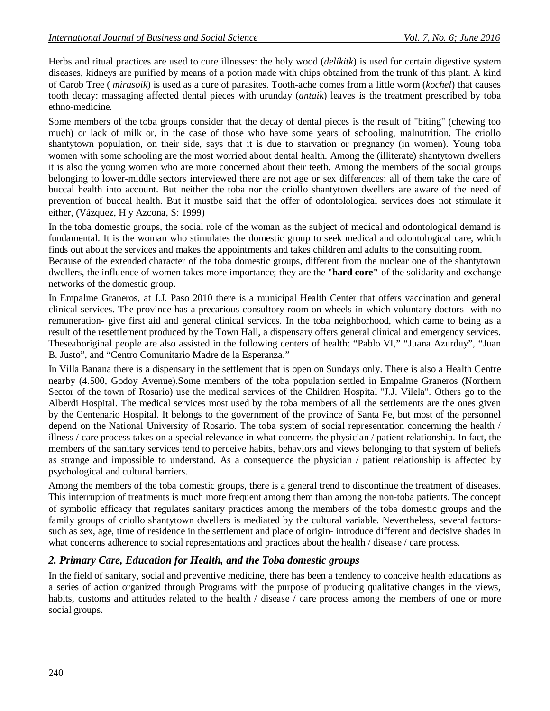Herbs and ritual practices are used to cure illnesses: the holy wood (*delikitk*) is used for certain digestive system diseases, kidneys are purified by means of a potion made with chips obtained from the trunk of this plant. A kind of Carob Tree ( *mirasoik*) is used as a cure of parasites. Tooth-ache comes from a little worm (*kochel*) that causes tooth decay: massaging affected dental pieces with urunday (*antaik*) leaves is the treatment prescribed by toba ethno-medicine.

Some members of the toba groups consider that the decay of dental pieces is the result of "biting" (chewing too much) or lack of milk or, in the case of those who have some years of schooling, malnutrition. The criollo shantytown population, on their side, says that it is due to starvation or pregnancy (in women). Young toba women with some schooling are the most worried about dental health. Among the (illiterate) shantytown dwellers it is also the young women who are more concerned about their teeth. Among the members of the social groups belonging to lower-middle sectors interviewed there are not age or sex differences: all of them take the care of buccal health into account. But neither the toba nor the criollo shantytown dwellers are aware of the need of prevention of buccal health. But it mustbe said that the offer of odontolological services does not stimulate it either, (Vázquez, H y Azcona, S: 1999)

In the toba domestic groups, the social role of the woman as the subject of medical and odontological demand is fundamental. It is the woman who stimulates the domestic group to seek medical and odontological care, which finds out about the services and makes the appointments and takes children and adults to the consulting room.

Because of the extended character of the toba domestic groups, different from the nuclear one of the shantytown dwellers, the influence of women takes more importance; they are the "**hard core"** of the solidarity and exchange networks of the domestic group.

In Empalme Graneros, at J.J. Paso 2010 there is a municipal Health Center that offers vaccination and general clinical services. The province has a precarious consultory room on wheels in which voluntary doctors- with no remuneration- give first aid and general clinical services. In the toba neighborhood, which came to being as a result of the resettlement produced by the Town Hall, a dispensary offers general clinical and emergency services. Theseaboriginal people are also assisted in the following centers of health: "Pablo VI," "Juana Azurduy", "Juan B. Justo", and "Centro Comunitario Madre de la Esperanza."

In Villa Banana there is a dispensary in the settlement that is open on Sundays only. There is also a Health Centre nearby (4.500, Godoy Avenue).Some members of the toba population settled in Empalme Graneros (Northern Sector of the town of Rosario) use the medical services of the Children Hospital "J.J. Vilela". Others go to the Alberdi Hospital. The medical services most used by the toba members of all the settlements are the ones given by the Centenario Hospital. It belongs to the government of the province of Santa Fe, but most of the personnel depend on the National University of Rosario. The toba system of social representation concerning the health / illness / care process takes on a special relevance in what concerns the physician / patient relationship. In fact, the members of the sanitary services tend to perceive habits, behaviors and views belonging to that system of beliefs as strange and impossible to understand. As a consequence the physician / patient relationship is affected by psychological and cultural barriers.

Among the members of the toba domestic groups, there is a general trend to discontinue the treatment of diseases. This interruption of treatments is much more frequent among them than among the non-toba patients. The concept of symbolic efficacy that regulates sanitary practices among the members of the toba domestic groups and the family groups of criollo shantytown dwellers is mediated by the cultural variable. Nevertheless, several factorssuch as sex, age, time of residence in the settlement and place of origin- introduce different and decisive shades in what concerns adherence to social representations and practices about the health / disease / care process.

#### *2. Primary Care, Education for Health, and the Toba domestic groups*

In the field of sanitary, social and preventive medicine, there has been a tendency to conceive health educations as a series of action organized through Programs with the purpose of producing qualitative changes in the views, habits, customs and attitudes related to the health / disease / care process among the members of one or more social groups.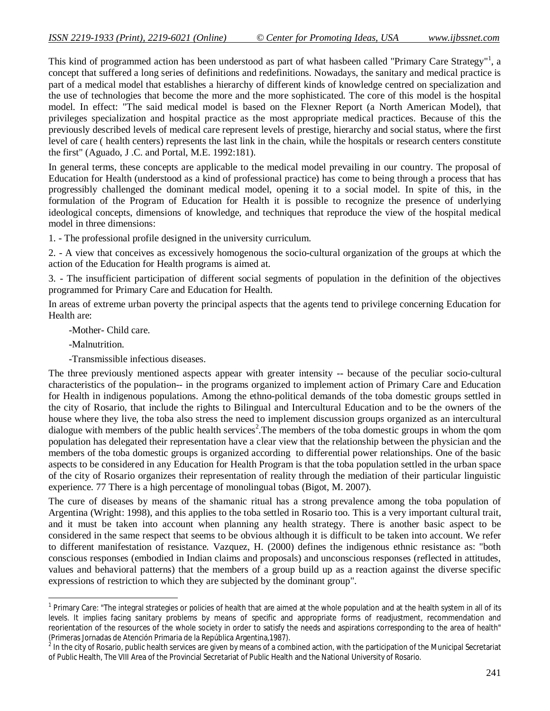This kind of programmed action has been understood as part of what hasbeen called "Primary Care Strategy"<sup>1</sup>, a concept that suffered a long series of definitions and redefinitions. Nowadays, the sanitary and medical practice is part of a medical model that establishes a hierarchy of different kinds of knowledge centred on specialization and the use of technologies that become the more and the more sophisticated. The core of this model is the hospital model. In effect: "The said medical model is based on the Flexner Report (a North American Model), that privileges specialization and hospital practice as the most appropriate medical practices. Because of this the previously described levels of medical care represent levels of prestige, hierarchy and social status, where the first level of care ( health centers) represents the last link in the chain, while the hospitals or research centers constitute the first" (Aguado, J .C. and Portal, M.E. 1992:181).

In general terms, these concepts are applicable to the medical model prevailing in our country. The proposal of Education for Health (understood as a kind of professional practice) has come to being through a process that has progressibly challenged the dominant medical model, opening it to a social model. In spite of this, in the formulation of the Program of Education for Health it is possible to recognize the presence of underlying ideological concepts, dimensions of knowledge, and techniques that reproduce the view of the hospital medical model in three dimensions:

1. - The professional profile designed in the university curriculum.

2. - A view that conceives as excessively homogenous the socio-cultural organization of the groups at which the action of the Education for Health programs is aimed at.

3. - The insufficient participation of different social segments of population in the definition of the objectives programmed for Primary Care and Education for Health.

In areas of extreme urban poverty the principal aspects that the agents tend to privilege concerning Education for Health are:

-Mother- Child care.

-Malnutrition.

-Transmissible infectious diseases.

The three previously mentioned aspects appear with greater intensity -- because of the peculiar socio-cultural characteristics of the population-- in the programs organized to implement action of Primary Care and Education for Health in indigenous populations. Among the ethno-political demands of the toba domestic groups settled in the city of Rosario, that include the rights to Bilingual and Intercultural Education and to be the owners of the house where they live, the toba also stress the need to implement discussion groups organized as an intercultural dialogue with members of the public health services<sup>2</sup>. The members of the toba domestic groups in whom the qom population has delegated their representation have a clear view that the relationship between the physician and the members of the toba domestic groups is organized according to differential power relationships. One of the basic aspects to be considered in any Education for Health Program is that the toba population settled in the urban space of the city of Rosario organizes their representation of reality through the mediation of their particular linguistic experience. 77 There is a high percentage of monolingual tobas (Bigot, M. 2007).

The cure of diseases by means of the shamanic ritual has a strong prevalence among the toba population of Argentina (Wright: 1998), and this applies to the toba settled in Rosario too. This is a very important cultural trait, and it must be taken into account when planning any health strategy. There is another basic aspect to be considered in the same respect that seems to be obvious although it is difficult to be taken into account. We refer to different manifestation of resistance. Vazquez, H. (2000) defines the indigenous ethnic resistance as: "both conscious responses (embodied in Indian claims and proposals) and unconscious responses (reflected in attitudes, values and behavioral patterns) that the members of a group build up as a reaction against the diverse specific expressions of restriction to which they are subjected by the dominant group".

 1 Primary Care: "The integral strategies or policies of health that are aimed at the whole population and at the health system in all of its levels. It implies facing sanitary problems by means of specific and appropriate forms of readjustment, recommendation and reorientation of the resources of the whole society in order to satisfy the needs and aspirations corresponding to the area of health" (Primeras Jornadas de Atención Primaria de la República Argentina,1987).

<sup>2</sup> In the city of Rosario, public health services are given by means of a combined action, with the participation of the Municipal Secretariat of Public Health, The VIII Area of the Provincial Secretariat of Public Health and the National University of Rosario.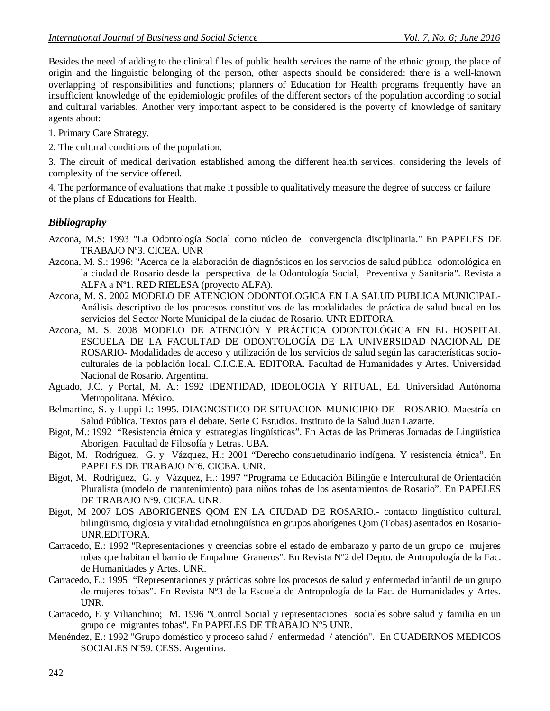Besides the need of adding to the clinical files of public health services the name of the ethnic group, the place of origin and the linguistic belonging of the person, other aspects should be considered: there is a well-known overlapping of responsibilities and functions; planners of Education for Health programs frequently have an insufficient knowledge of the epidemiologic profiles of the different sectors of the population according to social and cultural variables. Another very important aspect to be considered is the poverty of knowledge of sanitary agents about:

1. Primary Care Strategy.

2. The cultural conditions of the population.

3. The circuit of medical derivation established among the different health services, considering the levels of complexity of the service offered.

4. The performance of evaluations that make it possible to qualitatively measure the degree of success or failure of the plans of Educations for Health.

### *Bibliography*

- Azcona, M.S: 1993 "La Odontología Social como núcleo de convergencia disciplinaria." En PAPELES DE TRABAJO Nº3. CICEA. UNR
- Azcona, M. S.: 1996: "Acerca de la elaboración de diagnósticos en los servicios de salud pública odontológica en la ciudad de Rosario desde la perspectiva de la Odontología Social, Preventiva y Sanitaria". Revista a ALFA a Nº1. RED RIELESA (proyecto ALFA).
- Azcona, M. S. 2002 MODELO DE ATENCION ODONTOLOGICA EN LA SALUD PUBLICA MUNICIPAL-Análisis descriptivo de los procesos constitutivos de las modalidades de práctica de salud bucal en los servicios del Sector Norte Municipal de la ciudad de Rosario. UNR EDITORA.
- Azcona, M. S. 2008 MODELO DE ATENCIÓN Y PRÁCTICA ODONTOLÓGICA EN EL HOSPITAL ESCUELA DE LA FACULTAD DE ODONTOLOGÍA DE LA UNIVERSIDAD NACIONAL DE ROSARIO- Modalidades de acceso y utilización de los servicios de salud según las características socioculturales de la población local. C.I.C.E.A. EDITORA. Facultad de Humanidades y Artes. Universidad Nacional de Rosario. Argentina.
- Aguado, J.C. y Portal, M. A.: 1992 IDENTIDAD, IDEOLOGIA Y RITUAL, Ed. Universidad Autónoma Metropolitana. México.
- Belmartino, S. y Luppi I.: 1995. DIAGNOSTICO DE SITUACION MUNICIPIO DE ROSARIO. Maestría en Salud Pública. Textos para el debate. Serie C Estudios. Instituto de la Salud Juan Lazarte.
- Bigot, M.: 1992 "Resistencia étnica y estrategias lingüísticas". En Actas de las Primeras Jornadas de Lingüística Aborigen. Facultad de Filosofía y Letras. UBA.
- Bigot, M. Rodríguez, G. y Vázquez, H.: 2001 "Derecho consuetudinario indígena. Y resistencia étnica". En PAPELES DE TRABAJO Nº6. CICEA. UNR.
- Bigot, M. Rodríguez, G. y Vázquez, H.: 1997 "Programa de Educación Bilingüe e Intercultural de Orientación Pluralista (modelo de mantenimiento) para niños tobas de los asentamientos de Rosario". En PAPELES DE TRABAJO Nº9. CICEA. UNR.
- Bigot, M 2007 LOS ABORIGENES QOM EN LA CIUDAD DE ROSARIO.- contacto lingüístico cultural, bilingüismo, diglosia y vitalidad etnolingüística en grupos aborígenes Qom (Tobas) asentados en Rosario-UNR.EDITORA.
- Carracedo, E.: 1992 "Representaciones y creencias sobre el estado de embarazo y parto de un grupo de mujeres tobas que habitan el barrio de Empalme Graneros". En Revista Nº2 del Depto. de Antropología de la Fac. de Humanidades y Artes. UNR.
- Carracedo, E.: 1995 "Representaciones y prácticas sobre los procesos de salud y enfermedad infantil de un grupo de mujeres tobas". En Revista Nº3 de la Escuela de Antropología de la Fac. de Humanidades y Artes. UNR.
- Carracedo, E y Vilianchino; M. 1996 "Control Social y representaciones sociales sobre salud y familia en un grupo de migrantes tobas". En PAPELES DE TRABAJO Nº5 UNR.
- Menéndez, E.: 1992 "Grupo doméstico y proceso salud / enfermedad / atención". En CUADERNOS MEDICOS SOCIALES Nº59. CESS. Argentina.